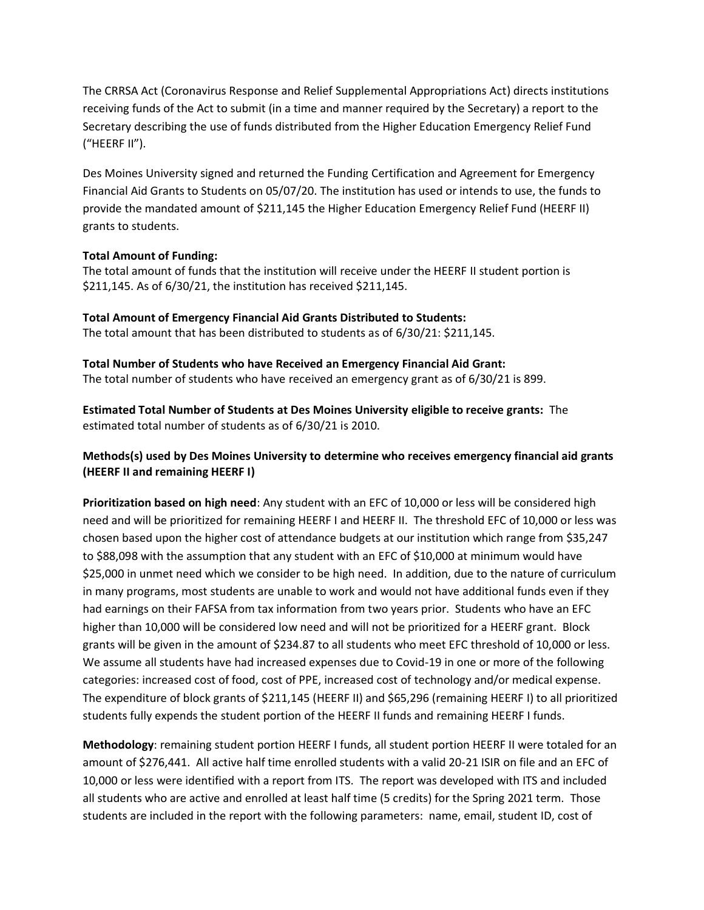The CRRSA Act (Coronavirus Response and Relief Supplemental Appropriations Act) directs institutions receiving funds of the Act to submit (in a time and manner required by the Secretary) a report to the Secretary describing the use of funds distributed from the Higher Education Emergency Relief Fund ("HEERF II").

Des Moines University signed and returned the Funding Certification and Agreement for Emergency Financial Aid Grants to Students on 05/07/20. The institution has used or intends to use, the funds to provide the mandated amount of \$211,145 the Higher Education Emergency Relief Fund (HEERF II) grants to students.

## **Total Amount of Funding:**

The total amount of funds that the institution will receive under the HEERF II student portion is \$211,145. As of 6/30/21, the institution has received \$211,145.

**Total Amount of Emergency Financial Aid Grants Distributed to Students:** The total amount that has been distributed to students as of 6/30/21: \$211,145.

**Total Number of Students who have Received an Emergency Financial Aid Grant:** The total number of students who have received an emergency grant as of 6/30/21 is 899.

**Estimated Total Number of Students at Des Moines University eligible to receive grants:** The estimated total number of students as of 6/30/21 is 2010.

## **Methods(s) used by Des Moines University to determine who receives emergency financial aid grants (HEERF II and remaining HEERF I)**

**Prioritization based on high need**: Any student with an EFC of 10,000 or less will be considered high need and will be prioritized for remaining HEERF I and HEERF II. The threshold EFC of 10,000 or less was chosen based upon the higher cost of attendance budgets at our institution which range from \$35,247 to \$88,098 with the assumption that any student with an EFC of \$10,000 at minimum would have \$25,000 in unmet need which we consider to be high need. In addition, due to the nature of curriculum in many programs, most students are unable to work and would not have additional funds even if they had earnings on their FAFSA from tax information from two years prior. Students who have an EFC higher than 10,000 will be considered low need and will not be prioritized for a HEERF grant. Block grants will be given in the amount of \$234.87 to all students who meet EFC threshold of 10,000 or less. We assume all students have had increased expenses due to Covid-19 in one or more of the following categories: increased cost of food, cost of PPE, increased cost of technology and/or medical expense. The expenditure of block grants of \$211,145 (HEERF II) and \$65,296 (remaining HEERF I) to all prioritized students fully expends the student portion of the HEERF II funds and remaining HEERF I funds.

**Methodology**: remaining student portion HEERF I funds, all student portion HEERF II were totaled for an amount of \$276,441. All active half time enrolled students with a valid 20-21 ISIR on file and an EFC of 10,000 or less were identified with a report from ITS. The report was developed with ITS and included all students who are active and enrolled at least half time (5 credits) for the Spring 2021 term. Those students are included in the report with the following parameters: name, email, student ID, cost of